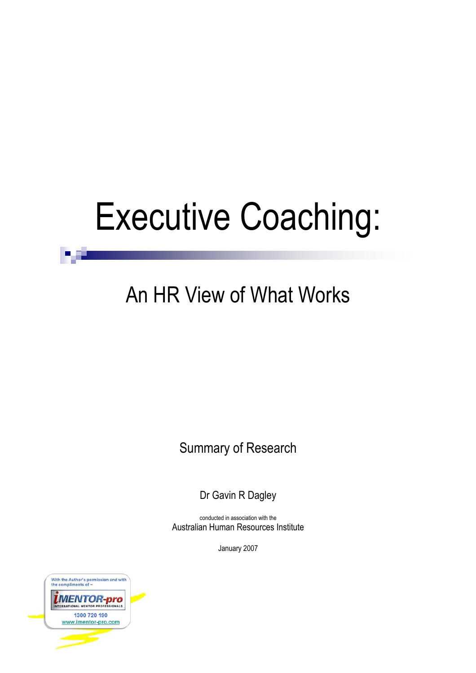# Executive Coaching:

# An HR View of What Works

Summary of Research

Dr Gavin R Dagley

conducted in association with the Australian Human Resources Institute

January 2007



39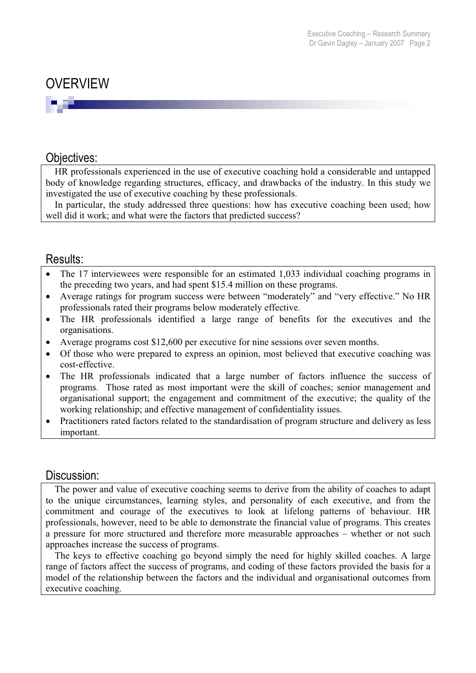# OVERVIEW

### Objectives:

HR professionals experienced in the use of executive coaching hold a considerable and untapped body of knowledge regarding structures, efficacy, and drawbacks of the industry. In this study we investigated the use of executive coaching by these professionals.

In particular, the study addressed three questions: how has executive coaching been used; how well did it work; and what were the factors that predicted success?

### Results:

- $\bullet$  The 17 interviewees were responsible for an estimated 1,033 individual coaching programs in the preceding two years, and had spent \$15.4 million on these programs.
- Average ratings for program success were between "moderately" and "very effective." No HR professionals rated their programs below moderately effective.
- The HR professionals identified a large range of benefits for the executives and the organisations.
- Average programs cost \$12,600 per executive for nine sessions over seven months.
- Of those who were prepared to express an opinion, most believed that executive coaching was cost-effective.
- The HR professionals indicated that a large number of factors influence the success of programs. Those rated as most important were the skill of coaches; senior management and organisational support; the engagement and commitment of the executive; the quality of the working relationship; and effective management of confidentiality issues.
- Practitioners rated factors related to the standardisation of program structure and delivery as less important.

#### Discussion:

The power and value of executive coaching seems to derive from the ability of coaches to adapt to the unique circumstances, learning styles, and personality of each executive, and from the commitment and courage of the executives to look at lifelong patterns of behaviour. HR professionals, however, need to be able to demonstrate the financial value of programs. This creates a pressure for more structured and therefore more measurable approaches – whether or not such approaches increase the success of programs.

The keys to effective coaching go beyond simply the need for highly skilled coaches. A large range of factors affect the success of programs, and coding of these factors provided the basis for a model of the relationship between the factors and the individual and organisational outcomes from executive coaching.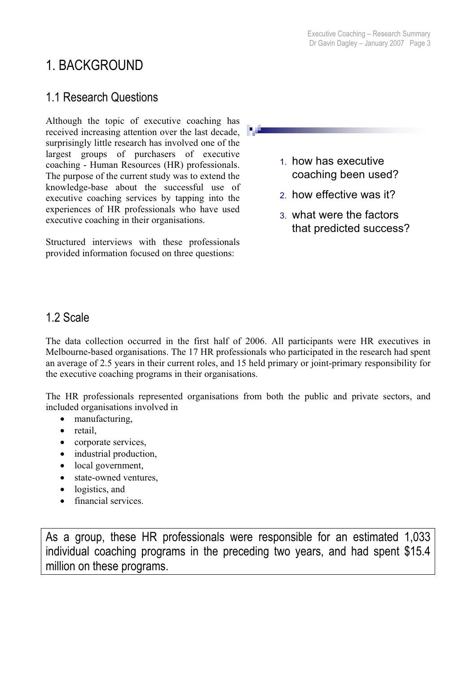# 1. BACKGROUND

# 1.1 Research Questions

Although the topic of executive coaching has received increasing attention over the last decade, surprisingly little research has involved one of the largest groups of purchasers of executive coaching - Human Resources (HR) professionals. The purpose of the current study was to extend the knowledge-base about the successful use of executive coaching services by tapping into the experiences of HR professionals who have used executive coaching in their organisations.

Structured interviews with these professionals provided information focused on three questions:

- 1. how has executive coaching been used?
- 2. how effective was it?
- 3. what were the factors that predicted success?

# 1.2 Scale

The data collection occurred in the first half of 2006. All participants were HR executives in Melbourne-based organisations. The 17 HR professionals who participated in the research had spent an average of 2.5 years in their current roles, and 15 held primary or joint-primary responsibility for the executive coaching programs in their organisations.

The HR professionals represented organisations from both the public and private sectors, and included organisations involved in

- manufacturing,
- $\bullet$  retail.
- corporate services.
- industrial production,
- local government,
- state-owned ventures,
- $\bullet$  logistics, and
- financial services.

As a group, these HR professionals were responsible for an estimated 1,033 individual coaching programs in the preceding two years, and had spent \$15.4 million on these programs.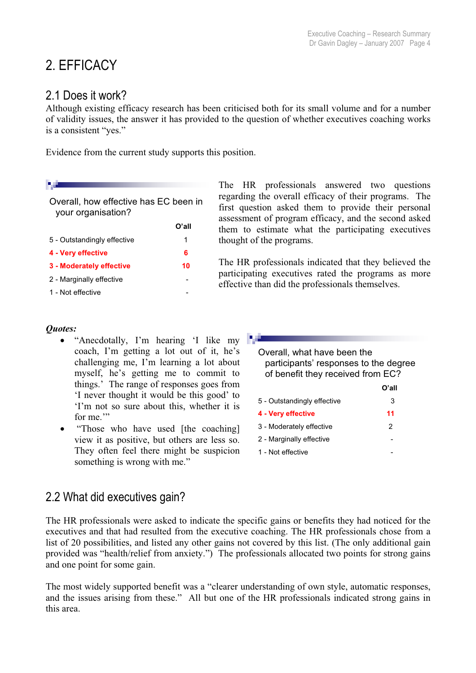# 2. EFFICACY

# 2.1 Does it work?

Although existing efficacy research has been criticised both for its small volume and for a number of validity issues, the answer it has provided to the question of whether executives coaching works is a consistent "yes."

Evidence from the current study supports this position.

Overall, how effective has EC been in your organisation?

|                             | O'all |
|-----------------------------|-------|
| 5 - Outstandingly effective | 1     |
| 4 - Very effective          | 6     |
| 3 - Moderately effective    | 10    |
| 2 - Marginally effective    |       |
| 1 - Not effective           |       |
|                             |       |

The HR professionals answered two questions regarding the overall efficacy of their programs. The first question asked them to provide their personal assessment of program efficacy, and the second asked them to estimate what the participating executives thought of the programs.

The HR professionals indicated that they believed the participating executives rated the programs as more effective than did the professionals themselves.

### *Quotes:*

- "Anecdotally, I'm hearing 'I like my coach, I'm getting a lot out of it, he's challenging me, I'm learning a lot about myself, he's getting me to commit to things.' The range of responses goes from 'I never thought it would be this good' to 'I'm not so sure about this, whether it is for me."
- "Those who have used [the coaching] view it as positive, but others are less so. They often feel there might be suspicion something is wrong with me."

Overall, what have been the participants' responses to the degree of benefit they received from EC?

|                             | O'all |
|-----------------------------|-------|
| 5 - Outstandingly effective | 3     |
| 4 - Very effective          | 11    |
| 3 - Moderately effective    | 2     |
| 2 - Marginally effective    |       |
| 1 - Not effective           |       |

# 2.2 What did executives gain?

The HR professionals were asked to indicate the specific gains or benefits they had noticed for the executives and that had resulted from the executive coaching. The HR professionals chose from a list of 20 possibilities, and listed any other gains not covered by this list. (The only additional gain provided was "health/relief from anxiety.") The professionals allocated two points for strong gains and one point for some gain.

The most widely supported benefit was a "clearer understanding of own style, automatic responses, and the issues arising from these." All but one of the HR professionals indicated strong gains in this area.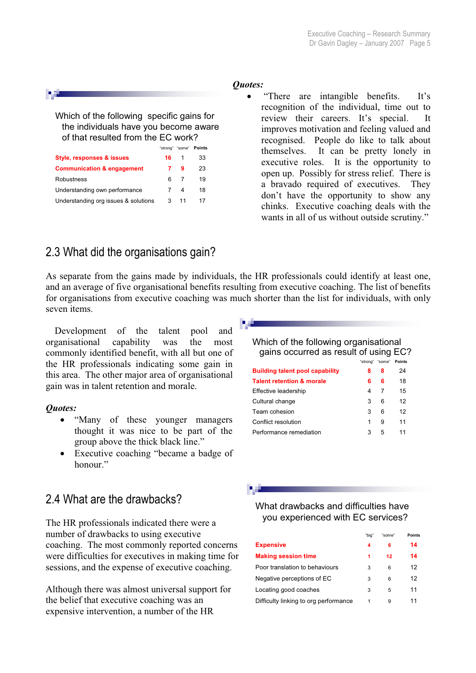#### *Quotes:*

"There are intangible benefits. It's recognition of the individual, time out to review their careers. It's special. It improves motivation and feeling valued and recognised. People do like to talk about themselves. It can be pretty lonely in executive roles. It is the opportunity to open up. Possibly for stress relief. There is a bravado required of executives. They don't have the opportunity to show any chinks. Executive coaching deals with the wants in all of us without outside scrutiny."

#### Which of the following specific gains for the individuals have you become aware of that resulted from the EC work? "strong" "some" **Points**

| <b>SUVIU</b> |    | $50110 - 101116$ |
|--------------|----|------------------|
| 16.          | 1  | 33               |
|              | 9  | 23               |
| ิค           |    | 19               |
|              | 4  | 18               |
| 3            | 11 | 17               |
|              |    |                  |

# 2.3 What did the organisations gain?

As separate from the gains made by individuals, the HR professionals could identify at least one, and an average of five organisational benefits resulting from executive coaching. The list of benefits for organisations from executive coaching was much shorter than the list for individuals, with only seven items.

Development of the talent pool and organisational capability was the most commonly identified benefit, with all but one of the HR professionals indicating some gain in this area. The other major area of organisational gain was in talent retention and morale.

#### *<u>Ouotes:</u>*

- "Many of these younger managers thought it was nice to be part of the group above the thick black line."
- Executive coaching "became a badge of honour"

# 2.4 What are the drawbacks?

The HR professionals indicated there were a number of drawbacks to using executive coaching. The most commonly reported concerns were difficulties for executives in making time for sessions, and the expense of executive coaching.

Although there was almost universal support for the belief that executive coaching was an expensive intervention, a number of the HR

#### Which of the following organisational gains occurred as result of using EC?

|                                        | "strong" | "some" | <b>Points</b> |  |
|----------------------------------------|----------|--------|---------------|--|
| <b>Building talent pool capability</b> | 8        | 8      | 24            |  |
| <b>Talent retention &amp; morale</b>   | 6        | 6      | 18            |  |
| Effective leadership                   | 4        | 7      | 15            |  |
| Cultural change                        | 3        | 6      | 12            |  |
| Team cohesion                          | 3        | 6      | 12            |  |
| Conflict resolution                    | 1        | 9      | 11            |  |
| Performance remediation                | 3        | 5      | 11            |  |
|                                        |          |        |               |  |

#### What drawbacks and difficulties have you experienced with EC services?

|                                       | "bia" | "some" | Points |
|---------------------------------------|-------|--------|--------|
| <b>Expensive</b>                      | 4     | 6      | 14     |
| <b>Making session time</b>            | 1     | 12     | 14     |
| Poor translation to behaviours        | 3     | 6      | 12     |
| Negative perceptions of EC            | 3     | 6      | 12     |
| Locating good coaches                 | 3     | 5      | 11     |
| Difficulty linking to org performance |       | 9      |        |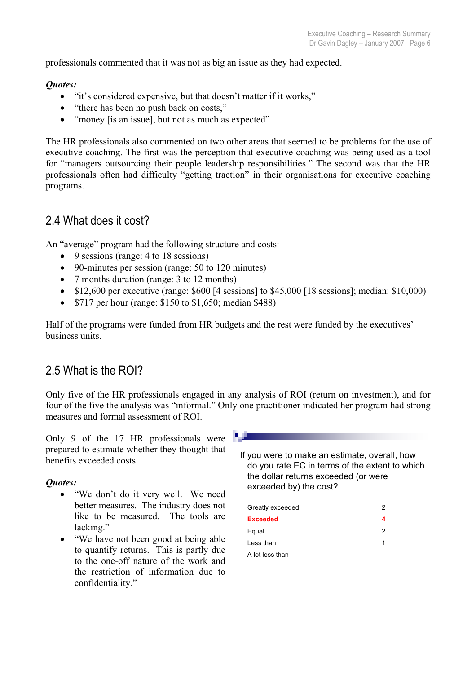professionals commented that it was not as big an issue as they had expected.

#### *Quotes:*

- "it's considered expensive, but that doesn't matter if it works,"
- "there has been no push back on costs,"
- "money [is an issue], but not as much as expected"

The HR professionals also commented on two other areas that seemed to be problems for the use of executive coaching. The first was the perception that executive coaching was being used as a tool for "managers outsourcing their people leadership responsibilities." The second was that the HR professionals often had difficulty "getting traction" in their organisations for executive coaching programs.

# 2.4 What does it cost?

An "average" program had the following structure and costs:

- $\bullet$  9 sessions (range: 4 to 18 sessions)
- $\bullet$  90-minutes per session (range: 50 to 120 minutes)
- 7 months duration (range:  $3 \text{ to } 12 \text{ months}$ )
- $\bullet$  \$12,600 per executive (range: \$600 [4 sessions] to \$45,000 [18 sessions]; median: \$10,000)
- $\bullet$  \$717 per hour (range: \$150 to \$1,650; median \$488)

Half of the programs were funded from HR budgets and the rest were funded by the executives' business units.

# 2.5 What is the ROI?

Only five of the HR professionals engaged in any analysis of ROI (return on investment), and for four of the five the analysis was "informal." Only one practitioner indicated her program had strong measures and formal assessment of ROI.

Only 9 of the 17 HR professionals were prepared to estimate whether they thought that benefits exceeded costs.

#### *Quotes:*

- "We don't do it very well. We need better measures. The industry does not like to be measured. The tools are lacking."
- "We have not been good at being able to quantify returns. This is partly due to the one-off nature of the work and the restriction of information due to confidentiality."



If you were to make an estimate, overall, how do you rate EC in terms of the extent to which the dollar returns exceeded (or were exceeded by) the cost?

| Greatly exceeded | 2 |
|------------------|---|
| <b>Exceeded</b>  | 4 |
| Equal            | 2 |
| Less than        | 1 |
| A lot less than  |   |
|                  |   |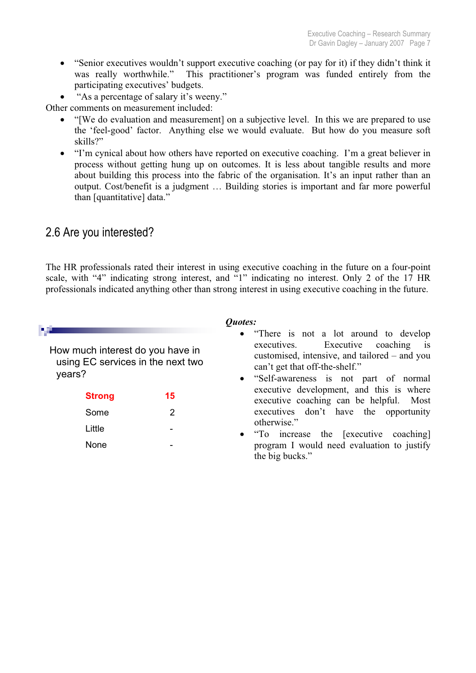- "Senior executives wouldn't support executive coaching (or pay for it) if they didn't think it was really worthwhile." This practitioner's program was funded entirely from the participating executives' budgets.
- "As a percentage of salary it's weeny."

Other comments on measurement included:

- "[We do evaluation and measurement] on a subjective level. In this we are prepared to use the 'feel-good' factor. Anything else we would evaluate. But how do you measure soft skills?"
- "I'm cynical about how others have reported on executive coaching. I'm a great believer in process without getting hung up on outcomes. It is less about tangible results and more about building this process into the fabric of the organisation. It's an input rather than an output. Cost/benefit is a judgment … Building stories is important and far more powerful than [quantitative] data."

# 2.6 Are you interested?

The HR professionals rated their interest in using executive coaching in the future on a four-point scale, with "4" indicating strong interest, and "1" indicating no interest. Only 2 of the 17 HR professionals indicated anything other than strong interest in using executive coaching in the future.

|                                                                                 |                                                                                                                                                                                                            | Quotes:                                                                             |
|---------------------------------------------------------------------------------|------------------------------------------------------------------------------------------------------------------------------------------------------------------------------------------------------------|-------------------------------------------------------------------------------------|
| How much interest do you have in<br>using EC services in the next two<br>years? | • "There is not a lot around to develop<br>executives. Executive coaching is<br>customised, intensive, and tailored – and you<br>can't get that off-the-shelf."<br>• "Self-awareness is not part of normal |                                                                                     |
| <b>Strong</b>                                                                   | 15                                                                                                                                                                                                         | executive development, and this is where<br>executive coaching can be helpful. Most |
| Some                                                                            | 2                                                                                                                                                                                                          | executives don't have the opportunity                                               |
| Little                                                                          |                                                                                                                                                                                                            | otherwise."<br>• "To increase the [executive coaching]                              |
| None                                                                            |                                                                                                                                                                                                            | program I would need evaluation to justify                                          |

the big bucks."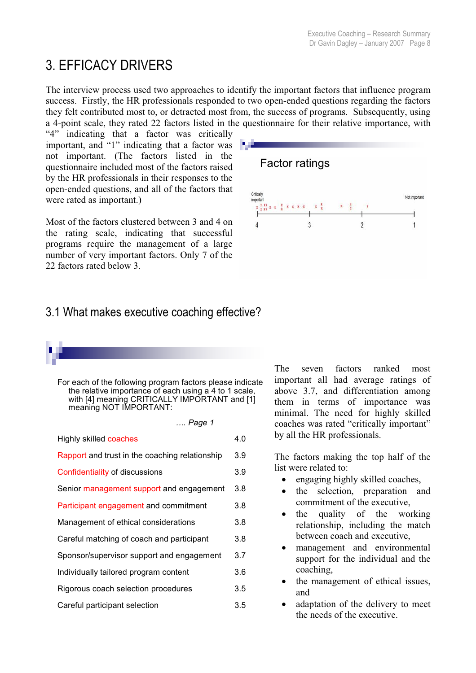# 3. EFFICACY DRIVERS

The interview process used two approaches to identify the important factors that influence program success. Firstly, the HR professionals responded to two open-ended questions regarding the factors they felt contributed most to, or detracted most from, the success of programs. Subsequently, using a 4-point scale, they rated 22 factors listed in the questionnaire for their relative importance, with

"4" indicating that a factor was critically important, and "1" indicating that a factor was not important. (The factors listed in the questionnaire included most of the factors raised by the HR professionals in their responses to the open-ended questions, and all of the factors that were rated as important.)

Most of the factors clustered between 3 and 4 on the rating scale, indicating that successful programs require the management of a large number of very important factors. Only 7 of the 22 factors rated below 3.

# Factor ratings Critically Not important  $\begin{array}{cccccccccc} \textbf{X} & \textbf{X} & \textbf{X} & \textbf{X} & \textbf{X} & \textbf{X} & \textbf{X} & \textbf{X} & \textbf{X} & \textbf{X} & \textbf{X} \\ \textbf{X} & \textbf{X} & \textbf{X} & \textbf{X} & \textbf{X} & \textbf{X} & \textbf{X} & \textbf{X} & \textbf{X} & \textbf{X} & \textbf{X} & \textbf{X} \\ \end{array}$  $\overline{3}$

# 3.1 What makes executive coaching effective?

For each of the following program factors please indicate the relative importance of each using a 4 to 1 scale, with [4] meaning CRITICALLY IMPORTANT and [1] meaning NOT IMPORTANT:

*…. Page 1*

| <b>Highly skilled coaches</b>                  | 4.0 |
|------------------------------------------------|-----|
| Rapport and trust in the coaching relationship | 3.9 |
| Confidentiality of discussions                 | 3.9 |
| Senior management support and engagement       | 3.8 |
| Participant engagement and commitment          | 3.8 |
| Management of ethical considerations           | 3.8 |
| Careful matching of coach and participant      | 3.8 |
| Sponsor/supervisor support and engagement      | 3.7 |
| Individually tailored program content          | 3.6 |
| Rigorous coach selection procedures            | 3.5 |
| Careful participant selection                  | 3.5 |

The seven factors ranked most important all had average ratings of above 3.7, and differentiation among them in terms of importance was minimal. The need for highly skilled coaches was rated "critically important" by all the HR professionals.

The factors making the top half of the list were related to:

- $\bullet$  engaging highly skilled coaches,
- the selection, preparation and commitment of the executive,
- $\bullet$  the quality of the working relationship, including the match between coach and executive,
- management and environmental support for the individual and the coaching,
- the management of ethical issues, and
- adaptation of the delivery to meet the needs of the executive.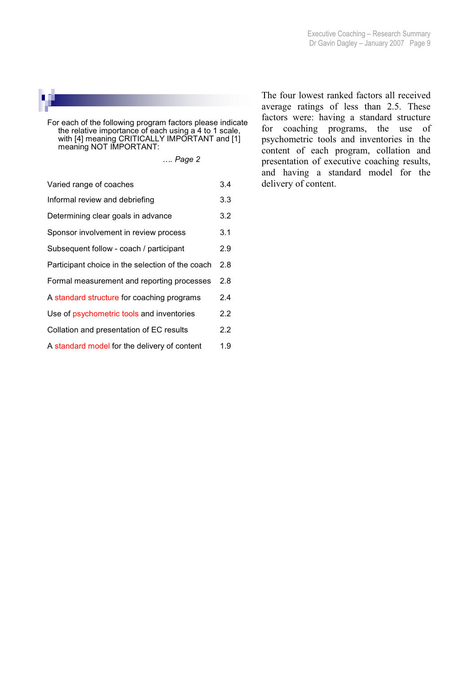

For each of the following program factors please indicate the relative importance of each using a 4 to 1 scale, with [4] meaning CRITICALLY IMPORTANT and [1] meaning NOT IMPORTANT:

*…. Page 2*

| Varied range of coaches                          | 3.4 |
|--------------------------------------------------|-----|
| Informal review and debriefing                   | 3.3 |
| Determining clear goals in advance               | 3.2 |
| Sponsor involvement in review process            | 3.1 |
| Subsequent follow - coach / participant          | 2.9 |
| Participant choice in the selection of the coach | 2.8 |
| Formal measurement and reporting processes       | 2.8 |
| A standard structure for coaching programs       | 2.4 |
| Use of psychometric tools and inventories        | 2.2 |
| Collation and presentation of EC results         | 2.2 |
| A standard model for the delivery of content     | 1.9 |

The four lowest ranked factors all received average ratings of less than 2.5. These factors were: having a standard structure for coaching programs, the use of psychometric tools and inventories in the content of each program, collation and presentation of executive coaching results, and having a standard model for the delivery of content.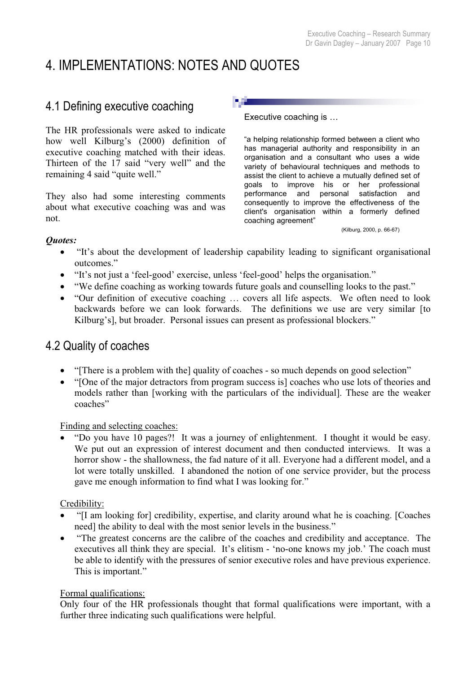# 4. IMPLEMENTATIONS: NOTES AND QUOTES

# 4.1 Defining executive coaching

The HR professionals were asked to indicate how well Kilburg's (2000) definition of executive coaching matched with their ideas. Thirteen of the 17 said "very well" and the remaining 4 said "quite well."

They also had some interesting comments about what executive coaching was and was not.

Executive coaching is …

"a helping relationship formed between a client who has managerial authority and responsibility in an organisation and a consultant who uses a wide variety of behavioural techniques and methods to assist the client to achieve a mutually defined set of goals to improve his or her professional performance and personal satisfaction and consequently to improve the effectiveness of the client's organisation within a formerly defined coaching agreement"

(Kilburg, 2000, p. 66-67)

#### *Quotes:*

- "It's about the development of leadership capability leading to significant organisational outcomes."
- "It's not just a 'feel-good' exercise, unless 'feel-good' helps the organisation."
- "We define coaching as working towards future goals and counselling looks to the past."
- "Our definition of executive coaching ... covers all life aspects. We often need to look backwards before we can look forwards. The definitions we use are very similar [to Kilburg's], but broader. Personal issues can present as professional blockers."

# 4.2 Quality of coaches

- x "[There is a problem with the] quality of coaches so much depends on good selection"
- "[One of the major detractors from program success is] coaches who use lots of theories and models rather than [working with the particulars of the individual]. These are the weaker coaches"

#### Finding and selecting coaches:

x "Do you have 10 pages?! It was a journey of enlightenment. I thought it would be easy. We put out an expression of interest document and then conducted interviews. It was a horror show - the shallowness, the fad nature of it all. Everyone had a different model, and a lot were totally unskilled. I abandoned the notion of one service provider, but the process gave me enough information to find what I was looking for."

#### Credibility:

- "I am looking for] credibility, expertise, and clarity around what he is coaching. [Coaches need] the ability to deal with the most senior levels in the business."
- "The greatest concerns are the calibre of the coaches and credibility and acceptance. The executives all think they are special. It's elitism - 'no-one knows my job.' The coach must be able to identify with the pressures of senior executive roles and have previous experience. This is important."

#### Formal qualifications:

Only four of the HR professionals thought that formal qualifications were important, with a further three indicating such qualifications were helpful.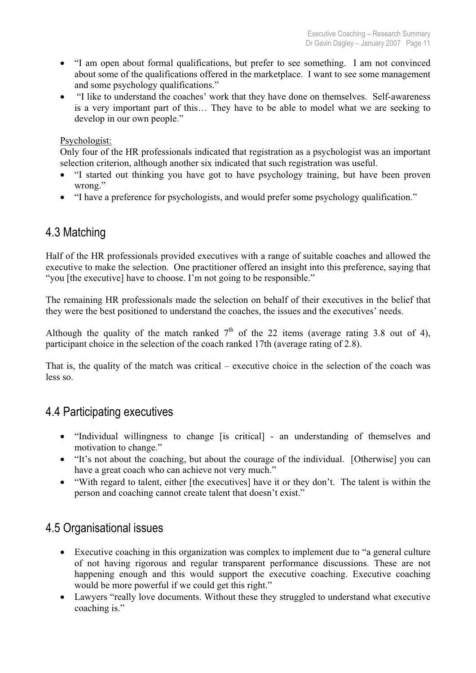- "I am open about formal qualifications, but prefer to see something. I am not convinced about some of the qualifications offered in the marketplace. I want to see some management and some psychology qualifications."
- x "I like to understand the coaches' work that they have done on themselves. Self-awareness is a very important part of this… They have to be able to model what we are seeking to develop in our own people."

#### Psychologist:

Only four of the HR professionals indicated that registration as a psychologist was an important selection criterion, although another six indicated that such registration was useful.

- "I started out thinking you have got to have psychology training, but have been proven wrong."
- "I have a preference for psychologists, and would prefer some psychology qualification."

# 4.3 Matching

Half of the HR professionals provided executives with a range of suitable coaches and allowed the executive to make the selection. One practitioner offered an insight into this preference, saying that "you [the executive] have to choose. I'm not going to be responsible."

The remaining HR professionals made the selection on behalf of their executives in the belief that they were the best positioned to understand the coaches, the issues and the executives' needs.

Although the quality of the match ranked  $7<sup>th</sup>$  of the 22 items (average rating 3.8 out of 4), participant choice in the selection of the coach ranked 17th (average rating of 2.8).

That is, the quality of the match was critical – executive choice in the selection of the coach was less so.

# 4.4 Participating executives

- "Individual willingness to change [is critical] an understanding of themselves and motivation to change."
- "It's not about the coaching, but about the courage of the individual. [Otherwise] you can have a great coach who can achieve not very much."
- "With regard to talent, either [the executives] have it or they don't. The talent is within the person and coaching cannot create talent that doesn't exist."

# 4.5 Organisational issues

- Executive coaching in this organization was complex to implement due to "a general culture" of not having rigorous and regular transparent performance discussions. These are not happening enough and this would support the executive coaching. Executive coaching would be more powerful if we could get this right."
- Lawyers "really love documents. Without these they struggled to understand what executive coaching is."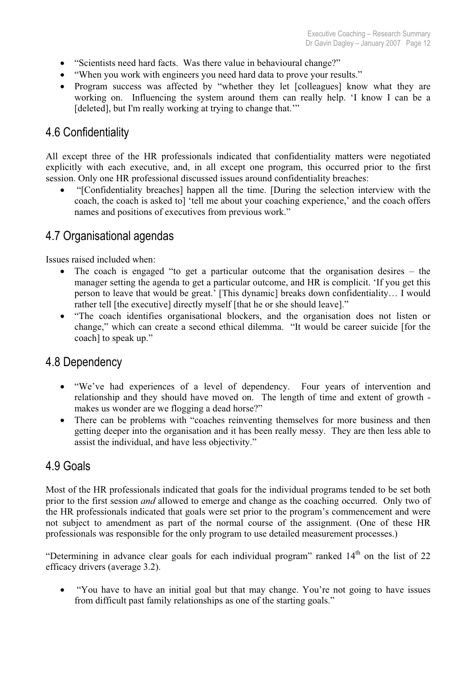- "Scientists need hard facts. Was there value in behavioural change?"
- "When you work with engineers you need hard data to prove your results."
- Program success was affected by "whether they let [colleagues] know what they are working on. Influencing the system around them can really help. 'I know I can be a [deleted], but I'm really working at trying to change that."

# 4.6 Confidentiality

All except three of the HR professionals indicated that confidentiality matters were negotiated explicitly with each executive, and, in all except one program, this occurred prior to the first session. Only one HR professional discussed issues around confidentiality breaches:

x "[Confidentiality breaches] happen all the time. [During the selection interview with the coach, the coach is asked to] 'tell me about your coaching experience,' and the coach offers names and positions of executives from previous work."

# 4.7 Organisational agendas

Issues raised included when:

- The coach is engaged "to get a particular outcome that the organisation desires  $-$  the manager setting the agenda to get a particular outcome, and HR is complicit. 'If you get this person to leave that would be great.' [This dynamic] breaks down confidentiality… I would rather tell [the executive] directly myself [that he or she should leave]."
- "The coach identifies organisational blockers, and the organisation does not listen or change," which can create a second ethical dilemma. "It would be career suicide [for the coach] to speak up."

# 4.8 Dependency

- "We've had experiences of a level of dependency. Four years of intervention and relationship and they should have moved on. The length of time and extent of growth makes us wonder are we flogging a dead horse?"
- There can be problems with "coaches reinventing themselves for more business and then getting deeper into the organisation and it has been really messy. They are then less able to assist the individual, and have less objectivity."

# 4.9 Goals

Most of the HR professionals indicated that goals for the individual programs tended to be set both prior to the first session *and* allowed to emerge and change as the coaching occurred. Only two of the HR professionals indicated that goals were set prior to the program's commencement and were not subject to amendment as part of the normal course of the assignment. (One of these HR professionals was responsible for the only program to use detailed measurement processes.)

"Determining in advance clear goals for each individual program" ranked  $14<sup>th</sup>$  on the list of 22 efficacy drivers (average 3.2).

"You have to have an initial goal but that may change. You're not going to have issues from difficult past family relationships as one of the starting goals."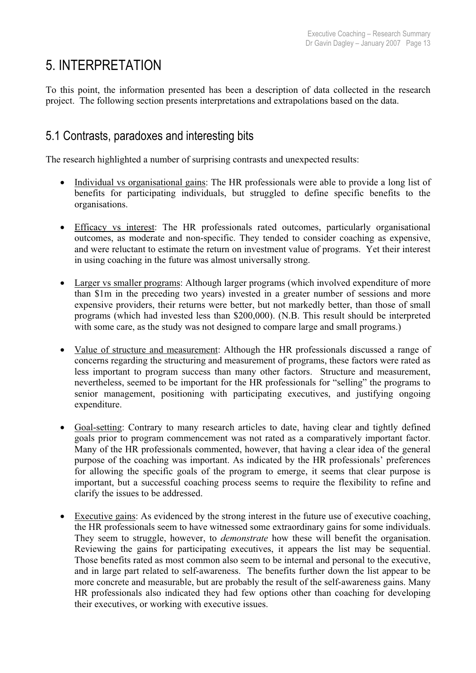# 5. INTERPRETATION

To this point, the information presented has been a description of data collected in the research project. The following section presents interpretations and extrapolations based on the data.

# 5.1 Contrasts, paradoxes and interesting bits

The research highlighted a number of surprising contrasts and unexpected results:

- Individual vs organisational gains: The HR professionals were able to provide a long list of benefits for participating individuals, but struggled to define specific benefits to the organisations.
- Efficacy vs interest: The HR professionals rated outcomes, particularly organisational outcomes, as moderate and non-specific. They tended to consider coaching as expensive, and were reluctant to estimate the return on investment value of programs. Yet their interest in using coaching in the future was almost universally strong.
- Larger vs smaller programs: Although larger programs (which involved expenditure of more than \$1m in the preceding two years) invested in a greater number of sessions and more expensive providers, their returns were better, but not markedly better, than those of small programs (which had invested less than \$200,000). (N.B. This result should be interpreted with some care, as the study was not designed to compare large and small programs.)
- Value of structure and measurement: Although the HR professionals discussed a range of concerns regarding the structuring and measurement of programs, these factors were rated as less important to program success than many other factors. Structure and measurement, nevertheless, seemed to be important for the HR professionals for "selling" the programs to senior management, positioning with participating executives, and justifying ongoing expenditure.
- Goal-setting: Contrary to many research articles to date, having clear and tightly defined goals prior to program commencement was not rated as a comparatively important factor. Many of the HR professionals commented, however, that having a clear idea of the general purpose of the coaching was important. As indicated by the HR professionals' preferences for allowing the specific goals of the program to emerge, it seems that clear purpose is important, but a successful coaching process seems to require the flexibility to refine and clarify the issues to be addressed.
- Executive gains: As evidenced by the strong interest in the future use of executive coaching, the HR professionals seem to have witnessed some extraordinary gains for some individuals. They seem to struggle, however, to *demonstrate* how these will benefit the organisation. Reviewing the gains for participating executives, it appears the list may be sequential. Those benefits rated as most common also seem to be internal and personal to the executive, and in large part related to self-awareness. The benefits further down the list appear to be more concrete and measurable, but are probably the result of the self-awareness gains. Many HR professionals also indicated they had few options other than coaching for developing their executives, or working with executive issues.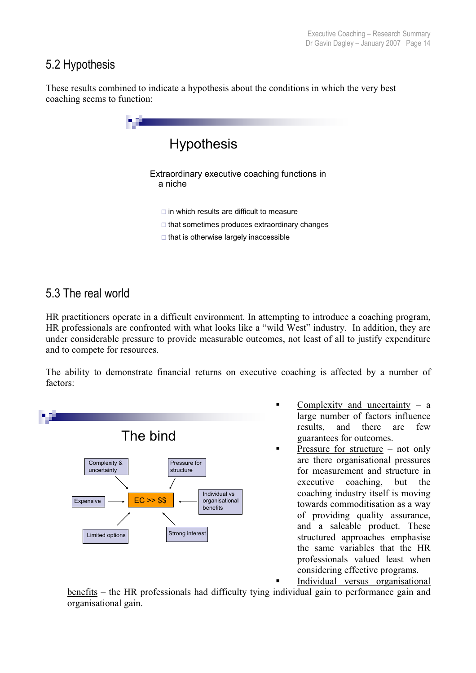# 5.2 Hypothesis

These results combined to indicate a hypothesis about the conditions in which the very best coaching seems to function:



# 5.3 The real world

HR practitioners operate in a difficult environment. In attempting to introduce a coaching program, HR professionals are confronted with what looks like a "wild West" industry. In addition, they are under considerable pressure to provide measurable outcomes, not least of all to justify expenditure and to compete for resources.

The ability to demonstrate financial returns on executive coaching is affected by a number of factors:



- Complexity and uncertainty  $-$  a large number of factors influence results, and there are few guarantees for outcomes.
- **Pressure for structure not only** are there organisational pressures for measurement and structure in executive coaching, but the coaching industry itself is moving towards commoditisation as a way of providing quality assurance, and a saleable product. These structured approaches emphasise the same variables that the HR professionals valued least when considering effective programs.

 Individual versus organisational benefits – the HR professionals had difficulty tying individual gain to performance gain and

organisational gain.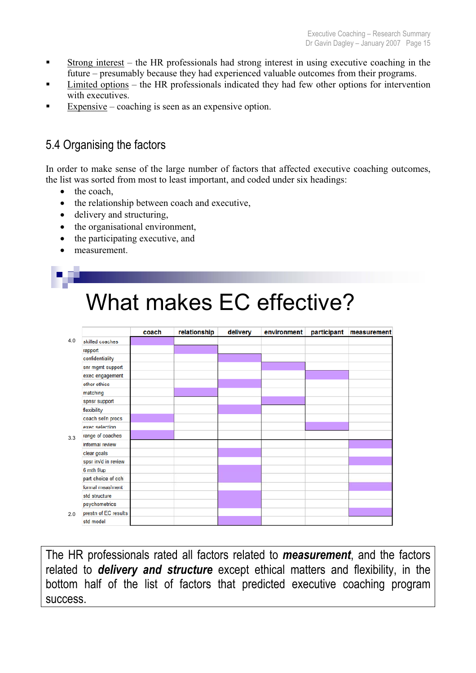- Strong interest the HR professionals had strong interest in using executive coaching in the future – presumably because they had experienced valuable outcomes from their programs.
- Limited options the HR professionals indicated they had few other options for intervention with executives.
- Expensive coaching is seen as an expensive option.

# 5.4 Organising the factors

In order to make sense of the large number of factors that affected executive coaching outcomes, the list was sorted from most to least important, and coded under six headings:

- $\bullet$  the coach,
- the relationship between coach and executive,
- $\bullet$  delivery and structuring,
- the organisational environment,
- $\bullet$  the participating executive, and
- measurement.

|                      | coach | relationship | delivery | environment | participant | measurement |
|----------------------|-------|--------------|----------|-------------|-------------|-------------|
| skilled coaches      |       |              |          |             |             |             |
| rapport              |       |              |          |             |             |             |
| confidentiality      |       |              |          |             |             |             |
| snr mgmt support     |       |              |          |             |             |             |
| exec engagement      |       |              |          |             |             |             |
| other ethics         |       |              |          |             |             |             |
| matching             |       |              |          |             |             |             |
| spnsr support        |       |              |          |             |             |             |
| flexibility          |       |              |          |             |             |             |
| coach sel'n procs    |       |              |          |             |             |             |
| exec selection       |       |              |          |             |             |             |
| range of coaches     |       |              |          |             |             |             |
| informal review      |       |              |          |             |             |             |
| clear goals          |       |              |          |             |             |             |
| spsr inv'd in review |       |              |          |             |             |             |
| 6 mth f/up           |       |              |          |             |             |             |
| part choice of cch   |       |              |          |             |             |             |
| formal meas'ment     |       |              |          |             |             |             |
| std structure        |       |              |          |             |             |             |
| psychometrics        |       |              |          |             |             |             |
| prestn of EC results |       |              |          |             |             |             |
| std model            |       |              |          |             |             |             |

The HR professionals rated all factors related to *measurement*, and the factors related to *delivery and structure* except ethical matters and flexibility, in the bottom half of the list of factors that predicted executive coaching program success.

# What makes FC effective?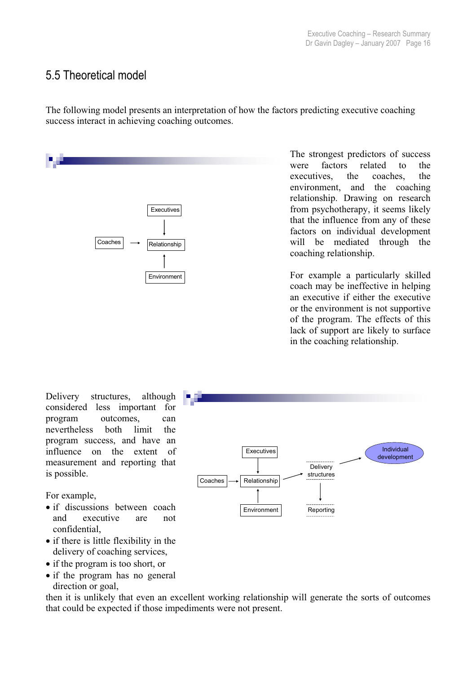# 5.5 Theoretical model

The following model presents an interpretation of how the factors predicting executive coaching success interact in achieving coaching outcomes.



The strongest predictors of success were factors related to the executives, the coaches, the environment, and the coaching relationship. Drawing on research from psychotherapy, it seems likely that the influence from any of these factors on individual development will be mediated through the coaching relationship.

Environment coach may be ineffective in helping an executive if either the executive or the environment is not supportive of the program. The effects of this lack of support are likely to surface in the coaching relationship.

Delivery structures, although considered less important for program outcomes, can nevertheless both limit the program success, and have an influence on the extent of measurement and reporting that is possible.

For example,

- if discussions between coach and executive are not confidential,
- $\bullet$  if there is little flexibility in the delivery of coaching services,
- if the program is too short, or
- if the program has no general direction or goal,

then it is unlikely that even an excellent working relationship will generate the sorts of outcomes that could be expected if those impediments were not present.

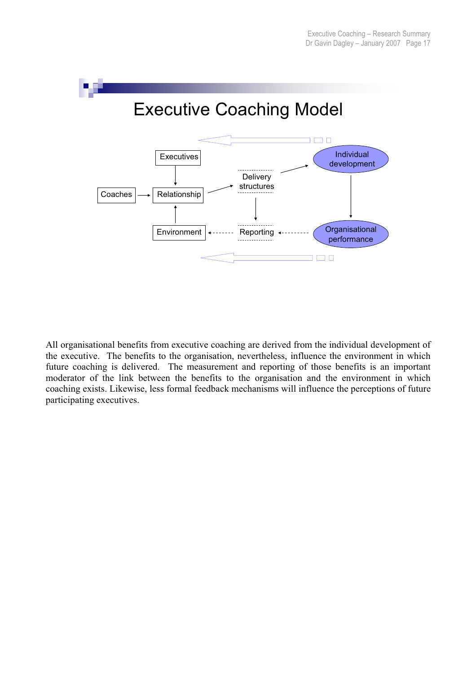

All organisational benefits from executive coaching are derived from the individual development of the executive. The benefits to the organisation, nevertheless, influence the environment in which future coaching is delivered. The measurement and reporting of those benefits is an important moderator of the link between the benefits to the organisation and the environment in which coaching exists. Likewise, less formal feedback mechanisms will influence the perceptions of future participating executives.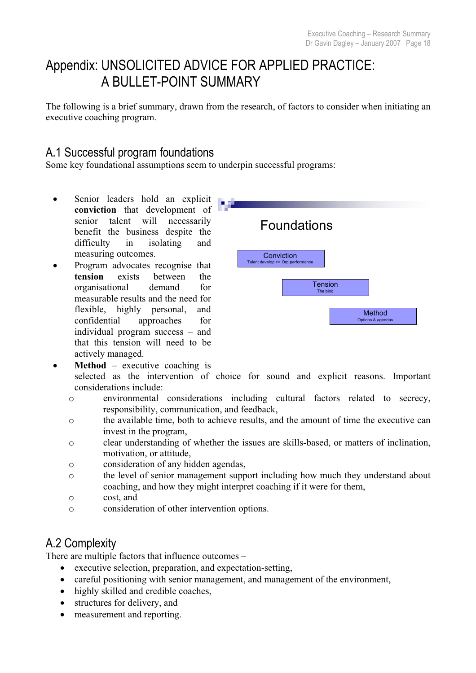# Appendix: UNSOLICITED ADVICE FOR APPLIED PRACTICE: A BULLET-POINT SUMMARY

The following is a brief summary, drawn from the research, of factors to consider when initiating an executive coaching program.

# A.1 Successful program foundations

Some key foundational assumptions seem to underpin successful programs:

- Senior leaders hold an explicit **conviction** that development of senior talent will necessarily benefit the business despite the difficulty in isolating and measuring outcomes.
- Program advocates recognise that **tension** exists between the organisational demand for measurable results and the need for flexible, highly personal, and confidential approaches for individual program success – and that this tension will need to be actively managed.



- **Method** executive coaching is selected as the intervention of choice for sound and explicit reasons. Important considerations include:
	- o environmental considerations including cultural factors related to secrecy, responsibility, communication, and feedback,
	- o the available time, both to achieve results, and the amount of time the executive can invest in the program,
	- o clear understanding of whether the issues are skills-based, or matters of inclination, motivation, or attitude,
	- o consideration of any hidden agendas,
	- o the level of senior management support including how much they understand about coaching, and how they might interpret coaching if it were for them,
	- o cost, and
	- o consideration of other intervention options.

# A.2 Complexity

There are multiple factors that influence outcomes –

- executive selection, preparation, and expectation-setting,
- careful positioning with senior management, and management of the environment,
- highly skilled and credible coaches,
- structures for delivery, and
- measurement and reporting.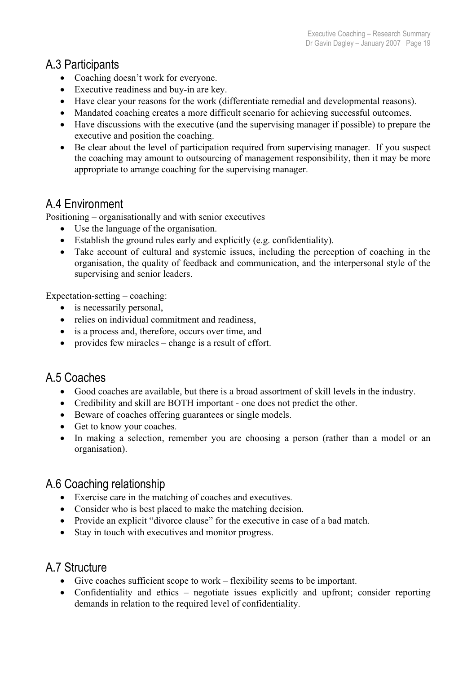# A.3 Participants

- Coaching doesn't work for everyone.
- Executive readiness and buy-in are key.
- Have clear your reasons for the work (differentiate remedial and developmental reasons).
- Mandated coaching creates a more difficult scenario for achieving successful outcomes.
- Have discussions with the executive (and the supervising manager if possible) to prepare the executive and position the coaching.
- Be clear about the level of participation required from supervising manager. If you suspect the coaching may amount to outsourcing of management responsibility, then it may be more appropriate to arrange coaching for the supervising manager.

# A.4 Environment

Positioning – organisationally and with senior executives

- Use the language of the organisation.
- $\bullet$  Establish the ground rules early and explicitly (e.g. confidentiality).
- Take account of cultural and systemic issues, including the perception of coaching in the organisation, the quality of feedback and communication, and the interpersonal style of the supervising and senior leaders.

Expectation-setting – coaching:

- $\bullet$  is necessarily personal,
- relies on individual commitment and readiness.
- is a process and, therefore, occurs over time, and
- provides few miracles change is a result of effort.

# A.5 Coaches

- Good coaches are available, but there is a broad assortment of skill levels in the industry.
- Credibility and skill are BOTH important one does not predict the other.
- Beware of coaches offering guarantees or single models.
- Get to know your coaches.
- In making a selection, remember you are choosing a person (rather than a model or an organisation).

# A.6 Coaching relationship

- Exercise care in the matching of coaches and executives.
- Consider who is best placed to make the matching decision.
- Provide an explicit "divorce clause" for the executive in case of a bad match.
- Stay in touch with executives and monitor progress.

# A.7 Structure

- $\bullet$  Give coaches sufficient scope to work flexibility seems to be important.
- Confidentiality and ethics negotiate issues explicitly and upfront; consider reporting demands in relation to the required level of confidentiality.